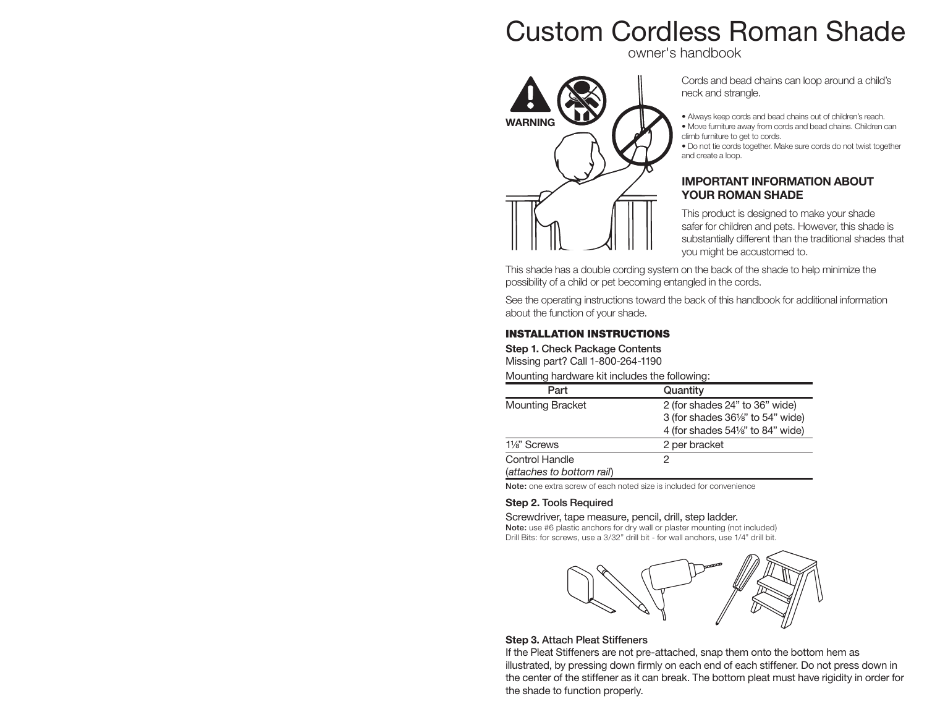

owner's handbook



Cords and bead chains can loop around a child's neck and strangle.

- Always keep cords and bead chains out of children's reach.
- Move furniture away from cords and bead chains. Children can climb furniture to get to cords.
- Do not tie cords together. Make sure cords do not twist together and create a loop.

#### **IMPORTANT INFORMATION ABOUT YOUR ROMAN SHADE**

This product is designed to make your shade safer for children and pets. However, this shade is substantially different than the traditional shades that you might be accustomed to.

This shade has a double cording system on the back of the shade to help minimize the possibility of a child or pet becoming entangled in the cords.

See the operating instructions toward the back of this handbook for additional information about the function of your shade.

#### **INSTALLATION INSTRUCTIONS**

**Step 1. Check Package Contents** Missing part? Call 1-800-264-1190

Mounting hardware kit includes the following:

| Part                      | Quantity                                     |
|---------------------------|----------------------------------------------|
| <b>Mounting Bracket</b>   | 2 (for shades 24" to 36" wide)               |
|                           | 3 (for shades 361/s" to 54" wide)            |
|                           | 4 (for shades $54\frac{1}{8}$ " to 84" wide) |
| 11/ <sub>8</sub> " Screws | 2 per bracket                                |
| <b>Control Handle</b>     |                                              |
| (attaches to bottom rail) |                                              |

**Note:** one extra screw of each noted size is included for convenience

#### **Step 2. Tools Required**

#### Screwdriver, tape measure, pencil, drill, step ladder.

**Note:** use #6 plastic anchors for dry wall or plaster mounting (not included) Drill Bits: for screws, use a 3/32" drill bit - for wall anchors, use 1/4" drill bit.



#### **Step 3. Attach Pleat Stiffeners**

If the Pleat Stiffeners are not pre-attached, snap them onto the bottom hem as illustrated, by pressing down firmly on each end of each stiffener. Do not press down in the center of the stiffener as it can break. The bottom pleat must have rigidity in order for the shade to function properly.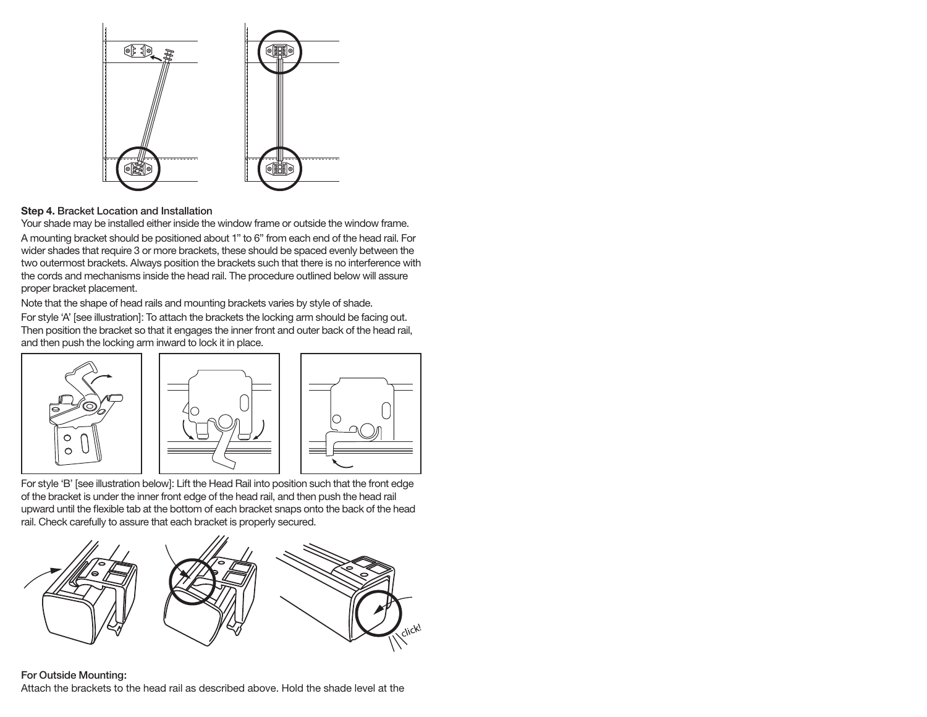

**Step 4. Bracket Location and Installation**

Your shade may be installed either inside the window frame or outside the window frame. A mounting bracket should be positioned about 1" to 6" from each end of the head rail. For wider shades that require 3 or more brackets, these should be spaced evenly between the two outermost brackets. Always position the brackets such that there is no interference with the cords and mechanisms inside the head rail. The procedure outlined below will assure proper bracket placement.

Note that the shape of head rails and mounting brackets varies by style of shade.

For style 'A' [see illustration]: To attach the brackets the locking arm should be facing out. Then position the bracket so that it engages the inner front and outer back of the head rail, and then push the locking arm inward to lock it in place.



For style 'B' [see illustration below]: Lift the Head Rail into position such that the front edge of the bracket is under the inner front edge of the head rail, and then push the head rail upward until the flexible tab at the bottom of each bracket snaps onto the back of the head rail. Check carefully to assure that each bracket is properly secured.



#### **For Outside Mounting:**

Attach the brackets to the head rail as described above. Hold the shade level at the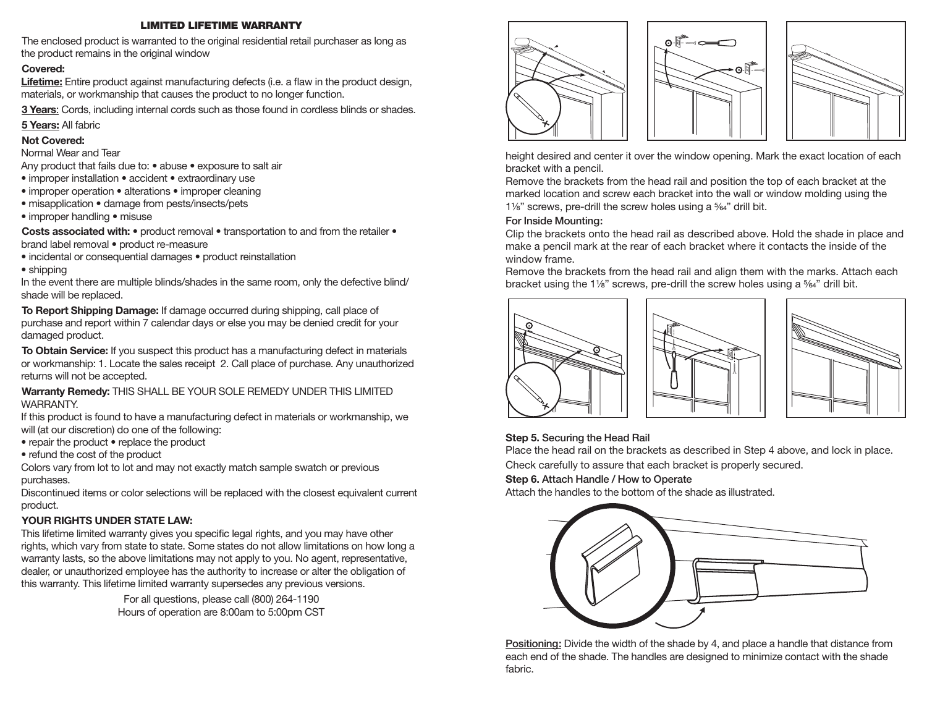#### **LIMITED LIFETIME WARRANTY**

The enclosed product is warranted to the original residential retail purchaser as long as the product remains in the original window

#### **Covered:**

**Lifetime:** Entire product against manufacturing defects (i.e. a flaw in the product design, materials, or workmanship that causes the product to no longer function.

**3 Years**: Cords, including internal cords such as those found in cordless blinds or shades.

**5 Years:** All fabric

#### **Not Covered:**

Normal Wear and Tear

Any product that fails due to: • abuse • exposure to salt air

- improper installation accident extraordinary use
- improper operation alterations improper cleaning
- misapplication damage from pests/insects/pets
- improper handling misuse

**Costs associated with: •** product removal • transportation to and from the retailer • brand label removal • product re-measure

• incidental or consequential damages • product reinstallation

• shipping

In the event there are multiple blinds/shades in the same room, only the defective blind/ shade will be replaced.

**To Report Shipping Damage:** If damage occurred during shipping, call place of purchase and report within 7 calendar days or else you may be denied credit for your damaged product.

**To Obtain Service:** If you suspect this product has a manufacturing defect in materials or workmanship: 1. Locate the sales receipt 2. Call place of purchase. Any unauthorized returns will not be accepted.

**Warranty Remedy:** THIS SHALL BE YOUR SOLE REMEDY UNDER THIS LIMITED WARRANTY.

If this product is found to have a manufacturing defect in materials or workmanship, we will (at our discretion) do one of the following:

- repair the product replace the product
- refund the cost of the product

Colors vary from lot to lot and may not exactly match sample swatch or previous purchases.

Discontinued items or color selections will be replaced with the closest equivalent current product.

### **YOUR RIGHTS UNDER STATE LAW:**

This lifetime limited warranty gives you specific legal rights, and you may have other rights, which vary from state to state. Some states do not allow limitations on how long a warranty lasts, so the above limitations may not apply to you. No agent, representative, dealer, or unauthorized employee has the authority to increase or alter the obligation of this warranty. This lifetime limited warranty supersedes any previous versions.

> For all questions, please call (800) 264-1190 Hours of operation are 8:00am to 5:00pm CST







height desired and center it over the window opening. Mark the exact location of each bracket with a pencil.

Remove the brackets from the head rail and position the top of each bracket at the marked location and screw each bracket into the wall or window molding using the  $1\frac{1}{8}$ " screws, pre-drill the screw holes using a  $\frac{5}{64}$ " drill bit.

#### **For Inside Mounting:**

Clip the brackets onto the head rail as described above. Hold the shade in place and make a pencil mark at the rear of each bracket where it contacts the inside of the window frame.

Remove the brackets from the head rail and align them with the marks. Attach each bracket using the 1¼" screws, pre-drill the screw holes using a <sup>5</sup>%<sup>"</sup> drill bit.







### **Step 5. Securing the Head Rail**

Place the head rail on the brackets as described in Step 4 above, and lock in place. Check carefully to assure that each bracket is properly secured.

# **Step 6. Attach Handle / How to Operate**

Attach the handles to the bottom of the shade as illustrated.



**Positioning:** Divide the width of the shade by 4, and place a handle that distance from each end of the shade. The handles are designed to minimize contact with the shade fabric.